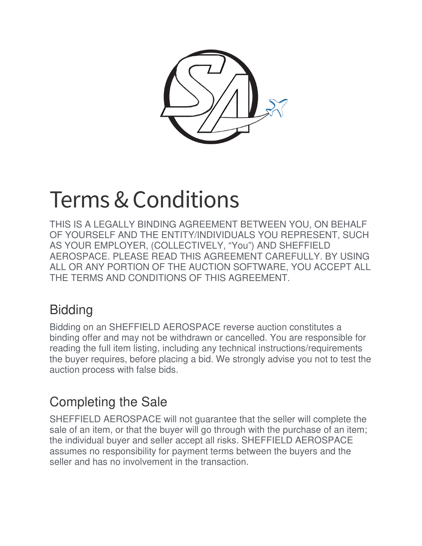

# Terms & Conditions

THIS IS A LEGALLY BINDING AGREEMENT BETWEEN YOU, ON BEHALF OF YOURSELF AND THE ENTITY/INDIVIDUALS YOU REPRESENT, SUCH AS YOUR EMPLOYER, (COLLECTIVELY, "You") AND SHEFFIELD AEROSPACE. PLEASE READ THIS AGREEMENT CAREFULLY. BY USING ALL OR ANY PORTION OF THE AUCTION SOFTWARE, YOU ACCEPT ALL THE TERMS AND CONDITIONS OF THIS AGREEMENT.

## **Bidding**

Bidding on an SHEFFIELD AEROSPACE reverse auction constitutes a binding offer and may not be withdrawn or cancelled. You are responsible for reading the full item listing, including any technical instructions/requirements the buyer requires, before placing a bid. We strongly advise you not to test the auction process with false bids.

# Completing the Sale

SHEFFIELD AEROSPACE will not guarantee that the seller will complete the sale of an item, or that the buyer will go through with the purchase of an item; the individual buyer and seller accept all risks. SHEFFIELD AEROSPACE assumes no responsibility for payment terms between the buyers and the seller and has no involvement in the transaction.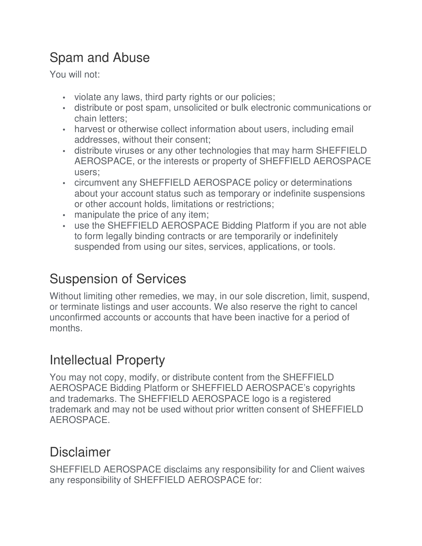# Spam and Abuse

You will not:

- violate any laws, third party rights or our policies;
- distribute or post spam, unsolicited or bulk electronic communications or chain letters;
- harvest or otherwise collect information about users, including email addresses, without their consent;
- distribute viruses or any other technologies that may harm SHEFFIELD AEROSPACE, or the interests or property of SHEFFIELD AEROSPACE users;
- circumvent any SHEFFIELD AEROSPACE policy or determinations about your account status such as temporary or indefinite suspensions or other account holds, limitations or restrictions;
- manipulate the price of any item;
- use the SHEFFIELD AEROSPACE Bidding Platform if you are not able to form legally binding contracts or are temporarily or indefinitely suspended from using our sites, services, applications, or tools.

## Suspension of Services

Without limiting other remedies, we may, in our sole discretion, limit, suspend, or terminate listings and user accounts. We also reserve the right to cancel unconfirmed accounts or accounts that have been inactive for a period of months.

#### Intellectual Property

You may not copy, modify, or distribute content from the SHEFFIELD AEROSPACE Bidding Platform or SHEFFIELD AEROSPACE's copyrights and trademarks. The SHEFFIELD AEROSPACE logo is a registered trademark and may not be used without prior written consent of SHEFFIELD AEROSPACE.

#### Disclaimer

SHEFFIELD AEROSPACE disclaims any responsibility for and Client waives any responsibility of SHEFFIELD AEROSPACE for: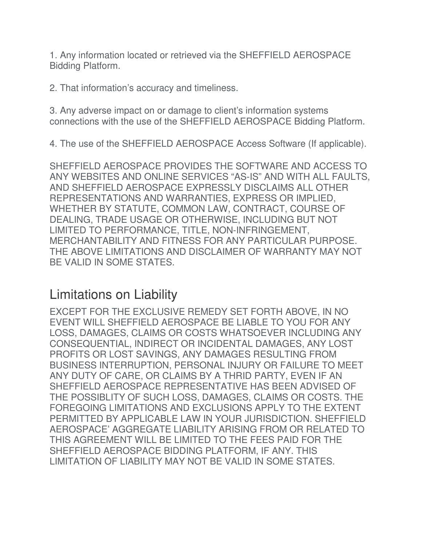1. Any information located or retrieved via the SHEFFIELD AEROSPACE Bidding Platform.

2. That information's accuracy and timeliness.

3. Any adverse impact on or damage to client's information systems connections with the use of the SHEFFIELD AEROSPACE Bidding Platform.

4. The use of the SHEFFIELD AEROSPACE Access Software (If applicable).

SHEFFIELD AEROSPACE PROVIDES THE SOFTWARE AND ACCESS TO ANY WEBSITES AND ONLINE SERVICES "AS-IS" AND WITH ALL FAULTS, AND SHEFFIELD AEROSPACE EXPRESSLY DISCLAIMS ALL OTHER REPRESENTATIONS AND WARRANTIES, EXPRESS OR IMPLIED, WHETHER BY STATUTE, COMMON LAW, CONTRACT, COURSE OF DEALING, TRADE USAGE OR OTHERWISE, INCLUDING BUT NOT LIMITED TO PERFORMANCE, TITLE, NON-INFRINGEMENT, MERCHANTABILITY AND FITNESS FOR ANY PARTICULAR PURPOSE. THE ABOVE LIMITATIONS AND DISCLAIMER OF WARRANTY MAY NOT BE VALID IN SOME STATES.

#### Limitations on Liability

EXCEPT FOR THE EXCLUSIVE REMEDY SET FORTH ABOVE, IN NO EVENT WILL SHEFFIELD AEROSPACE BE LIABLE TO YOU FOR ANY LOSS, DAMAGES, CLAIMS OR COSTS WHATSOEVER INCLUDING ANY CONSEQUENTIAL, INDIRECT OR INCIDENTAL DAMAGES, ANY LOST PROFITS OR LOST SAVINGS, ANY DAMAGES RESULTING FROM BUSINESS INTERRUPTION, PERSONAL INJURY OR FAILURE TO MEET ANY DUTY OF CARE, OR CLAIMS BY A THRID PARTY, EVEN IF AN SHEFFIELD AEROSPACE REPRESENTATIVE HAS BEEN ADVISED OF THE POSSIBLITY OF SUCH LOSS, DAMAGES, CLAIMS OR COSTS. THE FOREGOING LIMITATIONS AND EXCLUSIONS APPLY TO THE EXTENT PERMITTED BY APPLICABLE LAW IN YOUR JURISDICTION. SHEFFIELD AEROSPACE' AGGREGATE LIABILITY ARISING FROM OR RELATED TO THIS AGREEMENT WILL BE LIMITED TO THE FEES PAID FOR THE SHEFFIELD AEROSPACE BIDDING PLATFORM, IF ANY. THIS LIMITATION OF LIABILITY MAY NOT BE VALID IN SOME STATES.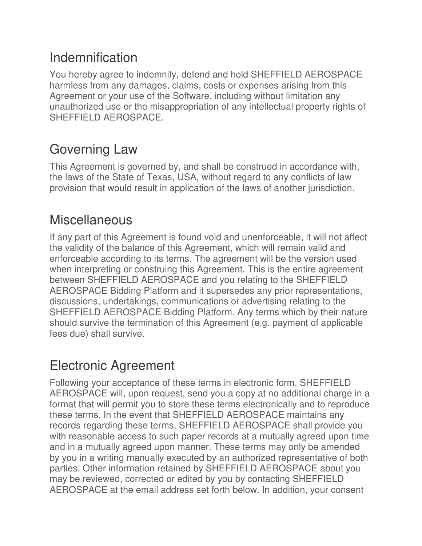#### Indemnification

You hereby agree to indemnify, defend and hold SHEFFIELD AEROSPACE harmless from any damages, claims, costs or expenses arising from this Agreement or your use of the Software, including without limitation any unauthorized use or the misappropriation of any intellectual property rights of SHEFFIELD AEROSPACE.

## Governing Law

This Agreement is governed by, and shall be construed in accordance with, the laws of the State of Texas, USA, without regard to any conflicts of law provision that would result in application of the laws of another jurisdiction.

#### **Miscellaneous**

If any part of this Agreement is found void and unenforceable, it will not affect the validity of the balance of this Agreement, which will remain valid and enforceable according to its terms. The agreement will be the version used when interpreting or construing this Agreement. This is the entire agreement between SHEFFIELD AEROSPACE and you relating to the SHEFFIELD AEROSPACE Bidding Platform and it supersedes any prior representations, discussions, undertakings, communications or advertising relating to the SHEFFIELD AEROSPACE Bidding Platform. Any terms which by their nature should survive the termination of this Agreement (e.g. payment of applicable fees due) shall survive.

## Electronic Agreement

Following your acceptance of these terms in electronic form, SHEFFIELD AEROSPACE will, upon request, send you a copy at no additional charge in a format that will permit you to store these terms electronically and to reproduce these terms. In the event that SHEFFIELD AEROSPACE maintains any records regarding these terms, SHEFFIELD AEROSPACE shall provide you with reasonable access to such paper records at a mutually agreed upon time and in a mutually agreed upon manner. These terms may only be amended by you in a writing manually executed by an authorized representative of both parties. Other information retained by SHEFFIELD AEROSPACE about you may be reviewed, corrected or edited by you by contacting SHEFFIELD AEROSPACE at the email address set forth below. In addition, your consent